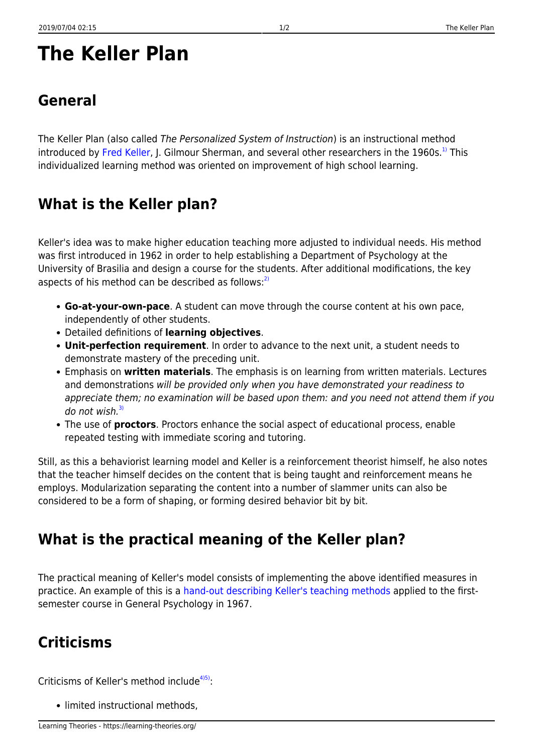# **The Keller Plan**

# **General**

The Keller Plan (also called The Personalized System of Instruction) is an instructional method introduced by [Fred Keller,](http://en.wikipedia.org/wiki/Fred_S._Keller) J. Gilmour Sherman, and several other researchers in the 1960s.<sup>[1\)](#page--1-0)</sup> This individualized learning method was oriented on improvement of high school learning.

### **What is the Keller plan?**

Keller's idea was to make higher education teaching more adjusted to individual needs. His method was first introduced in 1962 in order to help establishing a Department of Psychology at the University of Brasilia and design a course for the students. After additional modifications, the key aspects of his method can be described as follows: $^{2)}$  $^{2)}$  $^{2)}$ 

- **Go-at-your-own-pace**. A student can move through the course content at his own pace, independently of other students.
- Detailed definitions of **learning objectives**.
- **Unit-perfection requirement**. In order to advance to the next unit, a student needs to demonstrate mastery of the preceding unit.
- Emphasis on **written materials**. The emphasis is on learning from written materials. Lectures and demonstrations will be provided only when you have demonstrated your readiness to appreciate them; no examination will be based upon them: and you need not attend them if you do not wish. $3)$
- The use of **proctors**. Proctors enhance the social aspect of educational process, enable repeated testing with immediate scoring and tutoring.

Still, as this a behaviorist learning model and Keller is a reinforcement theorist himself, he also notes that the teacher himself decides on the content that is being taught and reinforcement means he employs. Modularization separating the content into a number of slammer units can also be considered to be a form of shaping, or forming desired behavior bit by bit.

### **What is the practical meaning of the Keller plan?**

The practical meaning of Keller's model consists of implementing the above identified measures in practice. An example of this is a [hand-out describing Keller's teaching methods](https://learning-theories.org/doku.php?id=chunks:hand-out_describing_keller_s_teaching_methods) applied to the firstsemester course in General Psychology in 1967.

## **Criticisms**

Criticisms of Keller's method include $45$ :

• limited instructional methods,